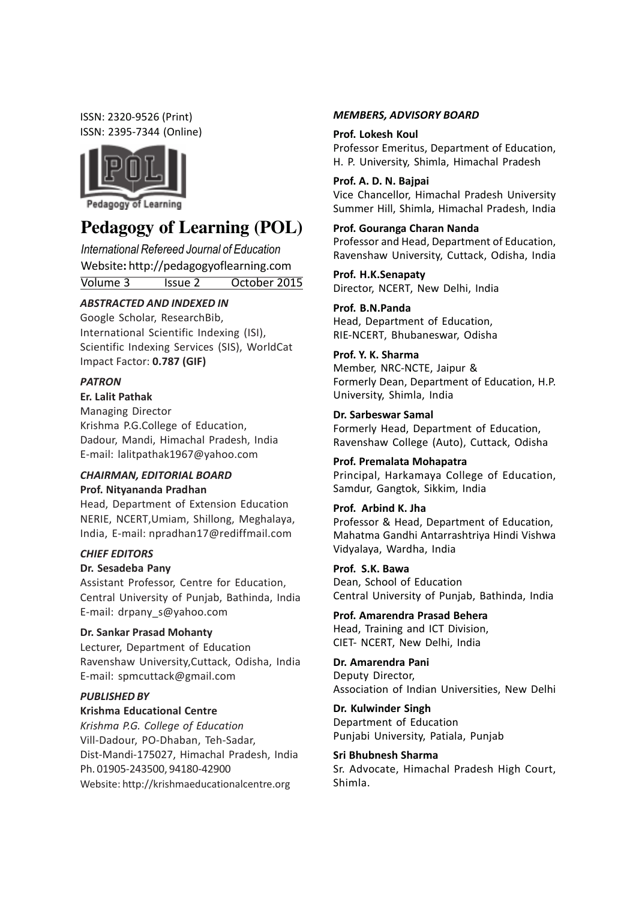ISSN: 2320-9526 (Print) ISSN: 2395-7344 (Online)



# **Pedagogy of Learning (POL)**

International Refereed Journal of Education Website: http://pedagogyoflearning.com Volume 3 Issue 2 October 2015

# ABSTRACTED AND INDEXED IN

Google Scholar, ResearchBib, International Scientific Indexing (ISI), Scientific Indexing Services (SIS), WorldCat Impact Factor: 0.787 (GIF)

# PATRON

# Er. Lalit Pathak

Managing Director Krishma P.G.College of Education, Dadour, Mandi, Himachal Pradesh, India E-mail: lalitpathak1967@yahoo.com

# CHAIRMAN, EDITORIAL BOARD Prof. Nityananda Pradhan

Head, Department of Extension Education NERIE, NCERT,Umiam, Shillong, Meghalaya, India, E-mail: npradhan17@rediffmail.com

#### CHIEF EDITORS

#### Dr. Sesadeba Pany

Assistant Professor, Centre for Education, Central University of Punjab, Bathinda, India E-mail: drpany\_s@yahoo.com

# Dr. Sankar Prasad Mohanty

Lecturer, Department of Education Ravenshaw University,Cuttack, Odisha, India E-mail: spmcuttack@gmail.com

# PUBLISHED BY

#### Krishma Educational Centre

Krishma P.G. College of Education Vill-Dadour, PO-Dhaban, Teh-Sadar, Dist-Mandi-175027, Himachal Pradesh, India Ph. 01905-243500, 94180-42900 Website: http://krishmaeducationalcentre.org

#### MEMBERS, ADVISORY BOARD

#### Prof. Lokesh Koul

Professor Emeritus, Department of Education, H. P. University, Shimla, Himachal Pradesh

#### Prof. A. D. N. Bajpai

Vice Chancellor, Himachal Pradesh University Summer Hill, Shimla, Himachal Pradesh, India

### Prof. Gouranga Charan Nanda

Professor and Head, Department of Education, Ravenshaw University, Cuttack, Odisha, India

Prof. H.K.Senapaty Director, NCERT, New Delhi, India

Prof. B.N.Panda Head, Department of Education, RIE-NCERT, Bhubaneswar, Odisha

# Prof. Y. K. Sharma

Member, NRC-NCTE, Jaipur & Formerly Dean, Department of Education, H.P. University, Shimla, India

Dr. Sarbeswar Samal Formerly Head, Department of Education, Ravenshaw College (Auto), Cuttack, Odisha

#### Prof. Premalata Mohapatra

Principal, Harkamaya College of Education, Samdur, Gangtok, Sikkim, India

## Prof. Arbind K. Jha

Professor & Head, Department of Education, Mahatma Gandhi Antarrashtriya Hindi Vishwa Vidyalaya, Wardha, India

# Prof. S.K. Bawa

Dean, School of Education Central University of Punjab, Bathinda, India

Prof. Amarendra Prasad Behera Head, Training and ICT Division, CIET- NCERT, New Delhi, India

# Dr. Amarendra Pani

Deputy Director, Association of Indian Universities, New Delhi

Dr. Kulwinder Singh Department of Education Punjabi University, Patiala, Punjab

#### Sri Bhubnesh Sharma

Sr. Advocate, Himachal Pradesh High Court, Shimla.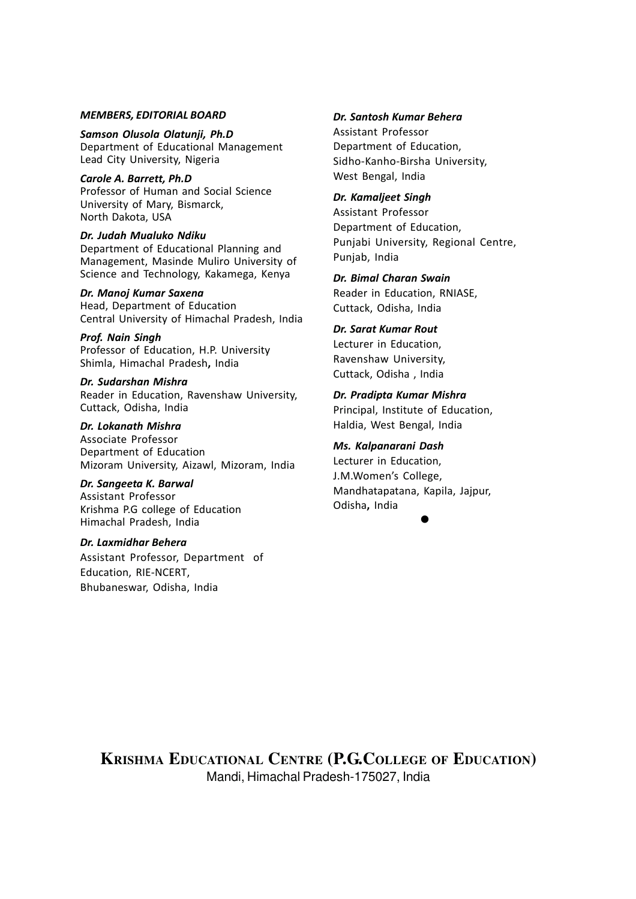#### MEMBERS, EDITORIAL BOARD

Samson Olusola Olatunji, Ph.D Department of Educational Management Lead City University, Nigeria

Carole A. Barrett, Ph.D Professor of Human and Social Science University of Mary, Bismarck, North Dakota, USA

#### Dr. Judah Mualuko Ndiku

Department of Educational Planning and Management, Masinde Muliro University of Science and Technology, Kakamega, Kenya

#### Dr. Manoj Kumar Saxena

Head, Department of Education Central University of Himachal Pradesh, India

Prof. Nain Singh Professor of Education, H.P. University Shimla, Himachal Pradesh, India

Dr. Sudarshan Mishra Reader in Education, Ravenshaw University, Cuttack, Odisha, India

Dr. Lokanath Mishra Associate Professor Department of Education Mizoram University, Aizawl, Mizoram, India

Dr. Sangeeta K. Barwal Assistant Professor Krishma P.G college of Education Himachal Pradesh, India

#### Dr. Laxmidhar Behera

Assistant Professor, Department of Education, RIE-NCERT, Bhubaneswar, Odisha, India

## Dr. Santosh Kumar Behera

Assistant Professor Department of Education, Sidho-Kanho-Birsha University, West Bengal, India

# Dr. Kamaljeet Singh

Assistant Professor Department of Education, Punjabi University, Regional Centre, Punjab, India

Dr. Bimal Charan Swain Reader in Education, RNIASE, Cuttack, Odisha, India

## Dr. Sarat Kumar Rout

Lecturer in Education, Ravenshaw University, Cuttack, Odisha , India

Dr. Pradipta Kumar Mishra Principal, Institute of Education, Haldia, West Bengal, India

#### Ms. Kalpanarani Dash

Lecturer in Education, J.M.Women's College, Mandhatapatana, Kapila, Jajpur, Odisha, India

 $\bullet$ 

**KRISHMA EDUCATIONAL CENTRE (P.G.COLLEGE OF EDUCATION)** Mandi, Himachal Pradesh-175027, India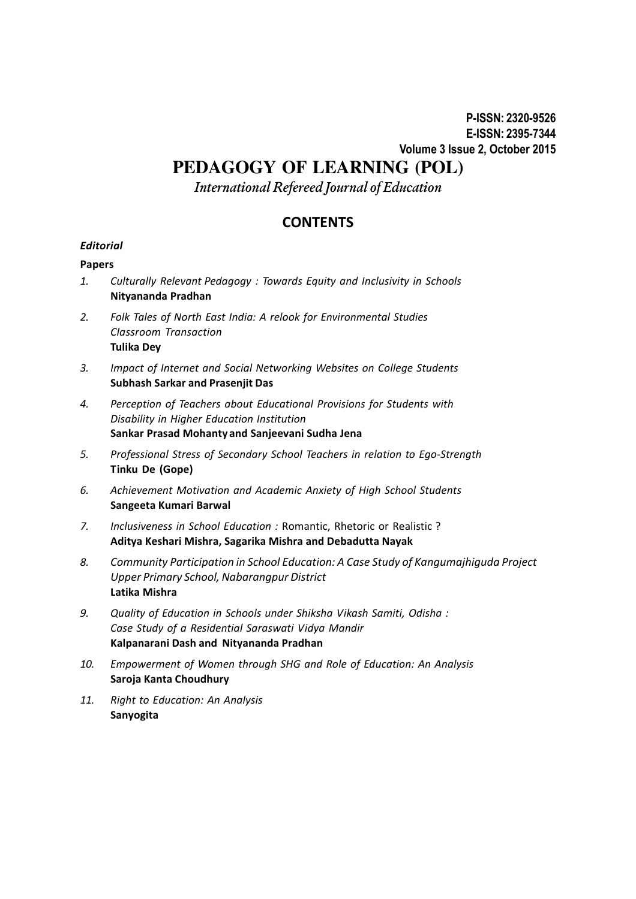# **PEDAGOGY OF LEARNING (POL)**

International Refereed Journal of Education

# **CONTENTS**

# **Editorial**

# Papers

- 1. Culturally Relevant Pedagogy : Towards Equity and Inclusivity in Schools Nityananda Pradhan
- 2. Folk Tales of North East India: A relook for Environmental Studies Classroom Transaction Tulika Dey
- 3. Impact of Internet and Social Networking Websites on College Students Subhash Sarkar and Prasenjit Das
- 4. Perception of Teachers about Educational Provisions for Students with Disability in Higher Education Institution Sankar Prasad Mohanty and Sanjeevani Sudha Jena
- 5. Professional Stress of Secondary School Teachers in relation to Ego-Strength Tinku De (Gope)
- 6. Achievement Motivation and Academic Anxiety of High School Students Sangeeta Kumari Barwal
- 7. Inclusiveness in School Education : Romantic, Rhetoric or Realistic ? Aditya Keshari Mishra, Sagarika Mishra and Debadutta Nayak
- 8. Community Participation in School Education: A Case Study of Kangumajhiguda Project Upper Primary School, Nabarangpur District Latika Mishra
- 9. Quality of Education in Schools under Shiksha Vikash Samiti, Odisha : Case Study of a Residential Saraswati Vidya Mandir Kalpanarani Dash and Nityananda Pradhan
- 10. Empowerment of Women through SHG and Role of Education: An Analysis Saroja Kanta Choudhury
- 11. Right to Education: An Analysis Sanyogita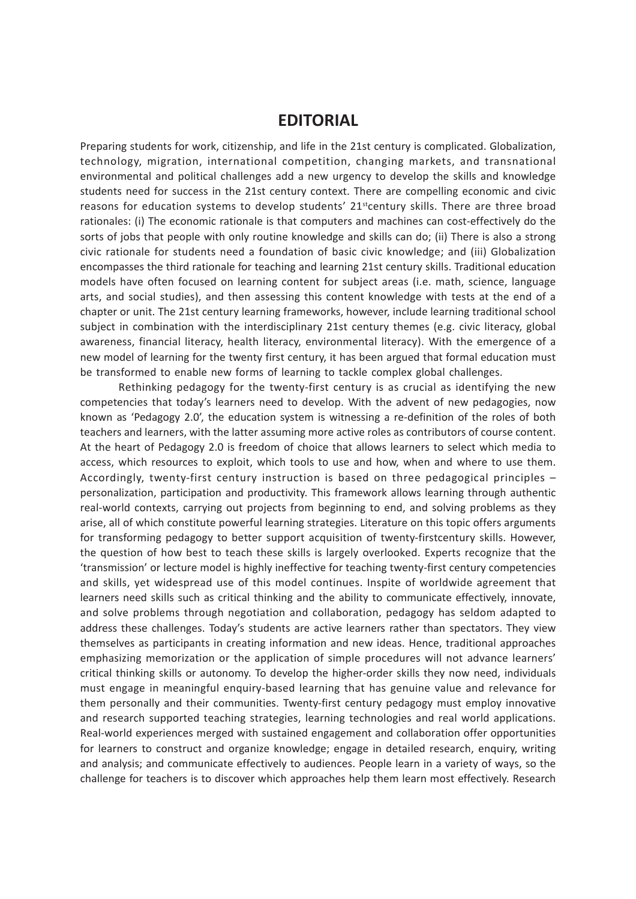# EDITORIAL

Preparing students for work, citizenship, and life in the 21st century is complicated. Globalization, technology, migration, international competition, changing markets, and transnational environmental and political challenges add a new urgency to develop the skills and knowledge students need for success in the 21st century context. There are compelling economic and civic reasons for education systems to develop students' 21<sup>st</sup>century skills. There are three broad rationales: (i) The economic rationale is that computers and machines can cost-effectively do the sorts of jobs that people with only routine knowledge and skills can do; (ii) There is also a strong civic rationale for students need a foundation of basic civic knowledge; and (iii) Globalization encompasses the third rationale for teaching and learning 21st century skills. Traditional education models have often focused on learning content for subject areas (i.e. math, science, language arts, and social studies), and then assessing this content knowledge with tests at the end of a chapter or unit. The 21st century learning frameworks, however, include learning traditional school subject in combination with the interdisciplinary 21st century themes (e.g. civic literacy, global awareness, financial literacy, health literacy, environmental literacy). With the emergence of a new model of learning for the twenty first century, it has been argued that formal education must be transformed to enable new forms of learning to tackle complex global challenges.

Rethinking pedagogy for the twenty-first century is as crucial as identifying the new competencies that today's learners need to develop. With the advent of new pedagogies, now known as 'Pedagogy 2.0', the education system is witnessing a re-definition of the roles of both teachers and learners, with the latter assuming more active roles as contributors of course content. At the heart of Pedagogy 2.0 is freedom of choice that allows learners to select which media to access, which resources to exploit, which tools to use and how, when and where to use them. Accordingly, twenty-first century instruction is based on three pedagogical principles – personalization, participation and productivity. This framework allows learning through authentic real-world contexts, carrying out projects from beginning to end, and solving problems as they arise, all of which constitute powerful learning strategies. Literature on this topic offers arguments for transforming pedagogy to better support acquisition of twenty-firstcentury skills. However, the question of how best to teach these skills is largely overlooked. Experts recognize that the 'transmission' or lecture model is highly ineffective for teaching twenty-first century competencies and skills, yet widespread use of this model continues. Inspite of worldwide agreement that learners need skills such as critical thinking and the ability to communicate effectively, innovate, and solve problems through negotiation and collaboration, pedagogy has seldom adapted to address these challenges. Today's students are active learners rather than spectators. They view themselves as participants in creating information and new ideas. Hence, traditional approaches emphasizing memorization or the application of simple procedures will not advance learners' critical thinking skills or autonomy. To develop the higher-order skills they now need, individuals must engage in meaningful enquiry-based learning that has genuine value and relevance for them personally and their communities. Twenty-first century pedagogy must employ innovative and research supported teaching strategies, learning technologies and real world applications. Real-world experiences merged with sustained engagement and collaboration offer opportunities for learners to construct and organize knowledge; engage in detailed research, enquiry, writing and analysis; and communicate effectively to audiences. People learn in a variety of ways, so the challenge for teachers is to discover which approaches help them learn most effectively. Research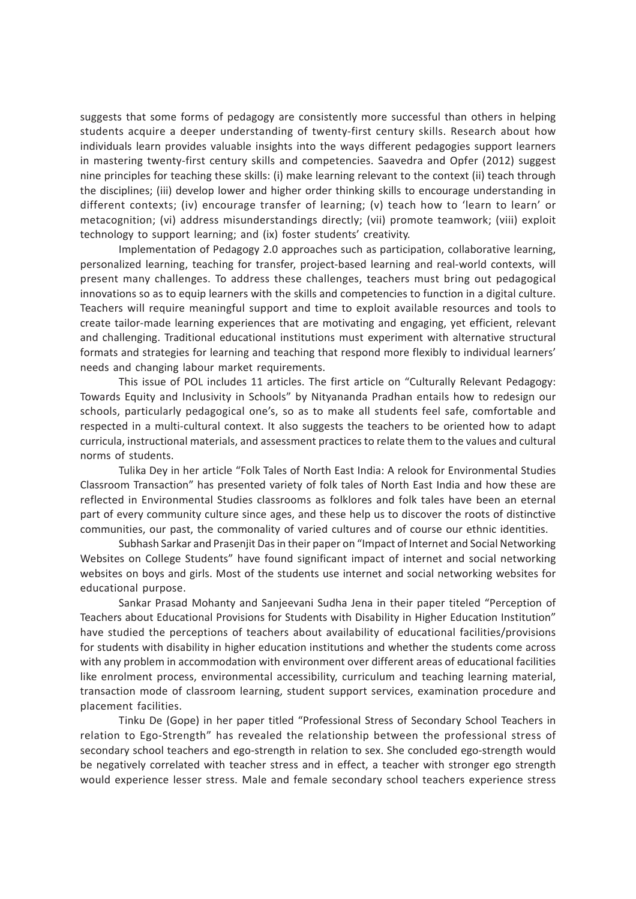suggests that some forms of pedagogy are consistently more successful than others in helping students acquire a deeper understanding of twenty-first century skills. Research about how individuals learn provides valuable insights into the ways different pedagogies support learners in mastering twenty-first century skills and competencies. Saavedra and Opfer (2012) suggest nine principles for teaching these skills: (i) make learning relevant to the context (ii) teach through the disciplines; (iii) develop lower and higher order thinking skills to encourage understanding in different contexts; (iv) encourage transfer of learning; (v) teach how to 'learn to learn' or metacognition; (vi) address misunderstandings directly; (vii) promote teamwork; (viii) exploit technology to support learning; and (ix) foster students' creativity.

Implementation of Pedagogy 2.0 approaches such as participation, collaborative learning, personalized learning, teaching for transfer, project-based learning and real-world contexts, will present many challenges. To address these challenges, teachers must bring out pedagogical innovations so as to equip learners with the skills and competencies to function in a digital culture. Teachers will require meaningful support and time to exploit available resources and tools to create tailor-made learning experiences that are motivating and engaging, yet efficient, relevant and challenging. Traditional educational institutions must experiment with alternative structural formats and strategies for learning and teaching that respond more flexibly to individual learners' needs and changing labour market requirements.

This issue of POL includes 11 articles. The first article on "Culturally Relevant Pedagogy: Towards Equity and Inclusivity in Schools" by Nityananda Pradhan entails how to redesign our schools, particularly pedagogical one's, so as to make all students feel safe, comfortable and respected in a multi-cultural context. It also suggests the teachers to be oriented how to adapt curricula, instructional materials, and assessment practices to relate them to the values and cultural norms of students.

Tulika Dey in her article "Folk Tales of North East India: A relook for Environmental Studies Classroom Transaction" has presented variety of folk tales of North East India and how these are reflected in Environmental Studies classrooms as folklores and folk tales have been an eternal part of every community culture since ages, and these help us to discover the roots of distinctive communities, our past, the commonality of varied cultures and of course our ethnic identities.

Subhash Sarkar and Prasenjit Das in their paper on "Impact of Internet and Social Networking Websites on College Students" have found significant impact of internet and social networking websites on boys and girls. Most of the students use internet and social networking websites for educational purpose.

Sankar Prasad Mohanty and Sanjeevani Sudha Jena in their paper titeled "Perception of Teachers about Educational Provisions for Students with Disability in Higher Education Institution" have studied the perceptions of teachers about availability of educational facilities/provisions for students with disability in higher education institutions and whether the students come across with any problem in accommodation with environment over different areas of educational facilities like enrolment process, environmental accessibility, curriculum and teaching learning material, transaction mode of classroom learning, student support services, examination procedure and placement facilities.

Tinku De (Gope) in her paper titled "Professional Stress of Secondary School Teachers in relation to Ego-Strength" has revealed the relationship between the professional stress of secondary school teachers and ego-strength in relation to sex. She concluded ego-strength would be negatively correlated with teacher stress and in effect, a teacher with stronger ego strength would experience lesser stress. Male and female secondary school teachers experience stress